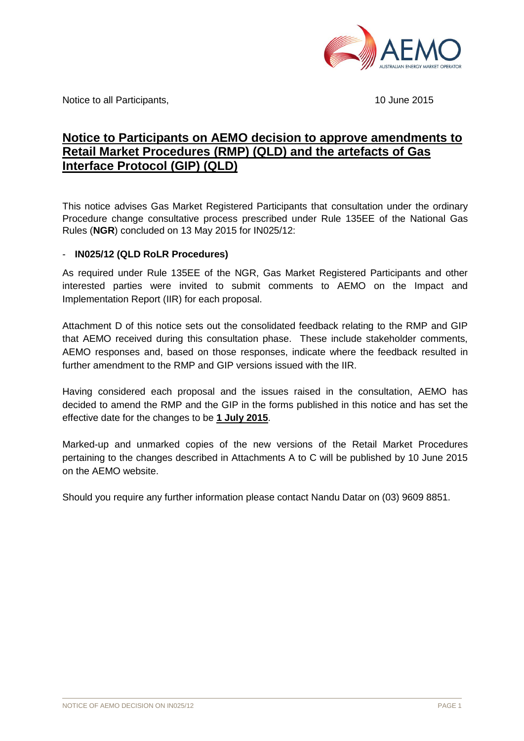

Notice to all Participants, 10 June 2015

# **Notice to Participants on AEMO decision to approve amendments to Retail Market Procedures (RMP) (QLD) and the artefacts of Gas Interface Protocol (GIP) (QLD)**

This notice advises Gas Market Registered Participants that consultation under the ordinary Procedure change consultative process prescribed under Rule 135EE of the National Gas Rules (**NGR**) concluded on 13 May 2015 for IN025/12:

#### - **IN025/12 (QLD RoLR Procedures)**

As required under Rule 135EE of the NGR, Gas Market Registered Participants and other interested parties were invited to submit comments to AEMO on the Impact and Implementation Report (IIR) for each proposal.

Attachment D of this notice sets out the consolidated feedback relating to the RMP and GIP that AEMO received during this consultation phase. These include stakeholder comments, AEMO responses and, based on those responses, indicate where the feedback resulted in further amendment to the RMP and GIP versions issued with the IIR.

Having considered each proposal and the issues raised in the consultation, AEMO has decided to amend the RMP and the GIP in the forms published in this notice and has set the effective date for the changes to be **1 July 2015**.

Marked-up and unmarked copies of the new versions of the Retail Market Procedures pertaining to the changes described in Attachments A to C will be published by 10 June 2015 on the AEMO website.

Should you require any further information please contact Nandu Datar on (03) 9609 8851.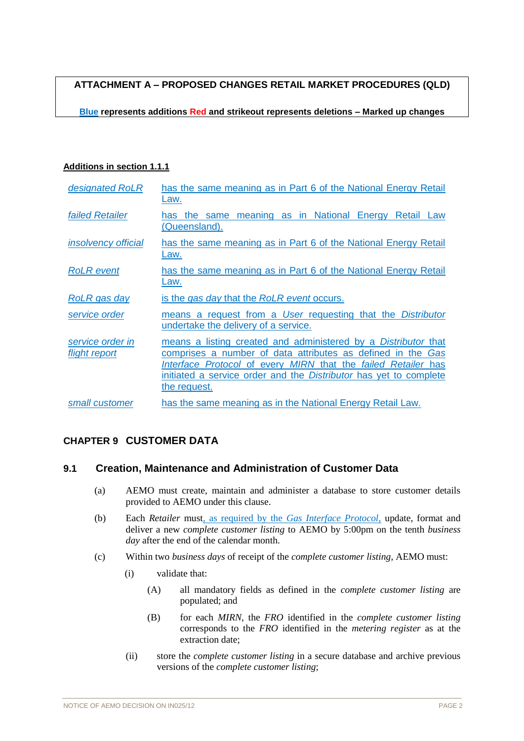**ATTACHMENT A – PROPOSED CHANGES RETAIL MARKET PROCEDURES (QLD)**

**Blue represents additions Red and strikeout represents deletions – Marked up changes**

#### **Additions in section 1.1.1**

| designated RoLR                   | has the same meaning as in Part 6 of the National Energy Retail<br>Law.                                                                                                                                                                                                                           |
|-----------------------------------|---------------------------------------------------------------------------------------------------------------------------------------------------------------------------------------------------------------------------------------------------------------------------------------------------|
| <b>failed Retailer</b>            | the same meaning as in National Energy<br>Retail Law<br>has<br><u>(Queensland).</u>                                                                                                                                                                                                               |
| <i>insolvency official</i>        | has the same meaning as in Part 6 of the National Energy Retail<br>Law.                                                                                                                                                                                                                           |
| <b>RoLR</b> event                 | has the same meaning as in Part 6 of the National Energy Retail<br>Law.                                                                                                                                                                                                                           |
| RoLR gas day                      | is the gas day that the RoLR event occurs.                                                                                                                                                                                                                                                        |
| service order                     | means a request from a User requesting that the Distributor<br>undertake the delivery of a service.                                                                                                                                                                                               |
| service order in<br>flight report | means a listing created and administered by a <i>Distributor</i> that<br>comprises a number of data attributes as defined in the Gas<br>Interface Protocol of every MIRN that the failed Retailer has<br>initiated a service order and the <i>Distributor</i> has yet to complete<br>the request. |
| small customer                    | has the same meaning as in the National Energy Retail Law.                                                                                                                                                                                                                                        |

# **CHAPTER 9 CUSTOMER DATA**

#### **9.1 Creation, Maintenance and Administration of Customer Data**

- (a) AEMO must create, maintain and administer a database to store customer details provided to AEMO under this clause.
- (b) Each *Retailer* must, as required by the *Gas Interface Protocol*, update, format and deliver a new *complete customer listing* to AEMO by 5:00pm on the tenth *business day* after the end of the calendar month.
- (c) Within two *business days* of receipt of the *complete customer listing*, AEMO must:
	- (i) validate that:
		- (A) all mandatory fields as defined in the *complete customer listing* are populated; and
		- (B) for each *MIRN*, the *FRO* identified in the *complete customer listing* corresponds to the *FRO* identified in the *metering register* as at the extraction date;
	- (ii) store the *complete customer listing* in a secure database and archive previous versions of the *complete customer listing*;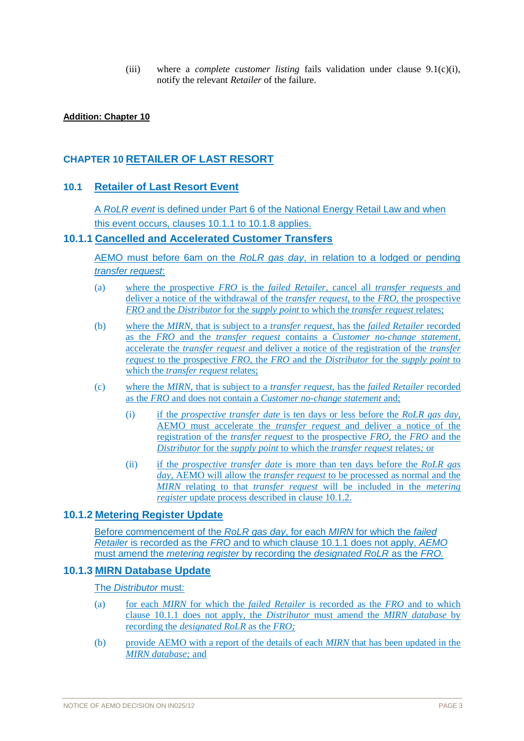(iii) where a *complete customer listing* fails validation under clause 9.1(c)(i), notify the relevant *Retailer* of the failure.

#### **Addition: Chapter 10**

#### **CHAPTER 10 RETAILER OF LAST RESORT**

#### **10.1 Retailer of Last Resort Event**

A *RoLR event* is defined under Part 6 of the National Energy Retail Law and when this event occurs, clauses 10.1.1 to 10.1.8 applies.

#### **10.1.1 Cancelled and Accelerated Customer Transfers**

AEMO must before 6am on the *RoLR gas day*, in relation to a lodged or pending *transfer request*:

- (a) where the prospective *FRO* is the *failed Retailer*, cancel all *transfer requests* and deliver a notice of the withdrawal of the *transfer request*, to the *FRO*, the prospective *FRO* and the *Distributor* for the *supply point* to which the *transfer request* relates;
- (b) where the *MIRN*, that is subject to a *transfer request*, has the *failed Retailer* recorded as the *FRO* and the *transfer request* contains a *Customer no-change statement,*  accelerate the *transfer request* and deliver a notice of the registration of the *transfer request* to the prospective *FRO,* the *FRO* and the *Distributor* for the *supply point* to which the *transfer request* relates;
- (c) where the *MIRN*, that is subject to a *transfer request*, has the *failed Retailer* recorded as the *FRO* and does not contain a *Customer no-change statement* and;
	- (i) if the *prospective transfer date* is ten days or less before the *RoLR gas day,*  AEMO must accelerate the *transfer request* and deliver a notice of the registration of the *transfer request* to the prospective *FRO,* the *FRO* and the *Distributor* for the *supply point* to which the *transfer request* relates*;* or
	- (ii) if the *prospective transfer date* is more than ten days before the *RoLR gas day,* AEMO will allow the *transfer request* to be processed as normal and the *MIRN* relating to that *transfer request* will be included in the *metering register* update process described in clause 10.1.2.

#### **10.1.2 Metering Register Update**

Before commencement of the *RoLR gas day*, for each *MIRN* for which the *failed Retailer* is recorded as the *FRO* and to which clause 10.1.1 does not apply, *AEMO* must amend the *metering register* by recording the *designated RoLR* as the *FRO.*

#### **10.1.3 MIRN Database Update**

#### The *Distributor* must:

- (a) for each *MIRN* for which the *failed Retailer* is recorded as the *FRO* and to which clause 10.1.1 does not apply, the *Distributor* must amend the *MIRN database* by recording the *designated RoLR* as the *FRO;*
- (b) provide AEMO with a report of the details of each *MIRN* that has been updated in the *MIRN database;* and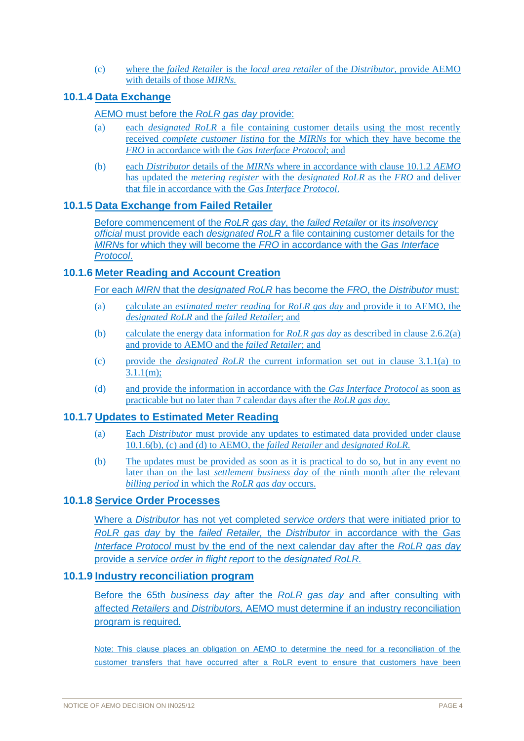(c) where the *failed Retailer* is the *local area retailer* of the *Distributor*, provide AEMO with details of those *MIRNs.*

## **10.1.4 Data Exchange**

#### AEMO must before the *RoLR gas day* provide:

- (a) each *designated RoLR* a file containing customer details using the most recently received *complete customer listing* for the *MIRNs* for which they have become the *FRO* in accordance with the *Gas Interface Protocol*; and
- (b) each *Distributor* details of the *MIRNs* where in accordance with clause 10.1.2 *AEMO* has updated the *metering register* with the *designated RoLR* as the *FRO* and deliver that file in accordance with the *Gas Interface Protocol*.

#### **10.1.5 Data Exchange from Failed Retailer**

Before commencement of the *RoLR gas day*, the *failed Retailer* or its *insolvency official* must provide each *designated RoLR* a file containing customer details for the *MIRN*s for which they will become the *FRO* in accordance with the *Gas Interface Protocol*.

# **10.1.6 Meter Reading and Account Creation**

For each *MIRN* that the *designated RoLR* has become the *FRO*, the *Distributor* must:

- (a) calculate an *estimated meter reading* for *RoLR gas day* and provide it to AEMO, the *designated RoLR* and the *failed Retailer*; and
- (b) calculate the energy data information for *RoLR gas day* as described in clause 2.6.2(a) and provide to AEMO and the *failed Retailer*; and
- (c) provide the *designated RoLR* the current information set out in clause 3.1.1(a) to  $3.1.1(m)$ ;
- (d) and provide the information in accordance with the *Gas Interface Protocol* as soon as practicable but no later than 7 calendar days after the *RoLR gas day*.

#### **10.1.7 Updates to Estimated Meter Reading**

- (a) Each *Distributor* must provide any updates to estimated data provided under clause 10.1.6(b), (c) and (d) to AEMO*,* the *failed Retailer* and *designated RoLR.*
- (b) The updates must be provided as soon as it is practical to do so, but in any event no later than on the last *settlement business day* of the ninth month after the relevant *billing period* in which the *RoLR gas day* occurs.

### **10.1.8 Service Order Processes**

Where a *Distributor* has not yet completed *service orders* that were initiated prior to *RoLR gas day* by the *failed Retailer,* the *Distributor* in accordance with the *Gas Interface Protocol* must by the end of the next calendar day after the *RoLR gas day* provide a *service order in flight report* to the *designated RoLR.*

#### **10.1.9 Industry reconciliation program**

Before the 65th *business day* after the *RoLR gas day* and after consulting with affected *Retailers* and *Distributors,* AEMO must determine if an industry reconciliation program is required.

Note: This clause places an obligation on AEMO to determine the need for a reconciliation of the customer transfers that have occurred after a RoLR event to ensure that customers have been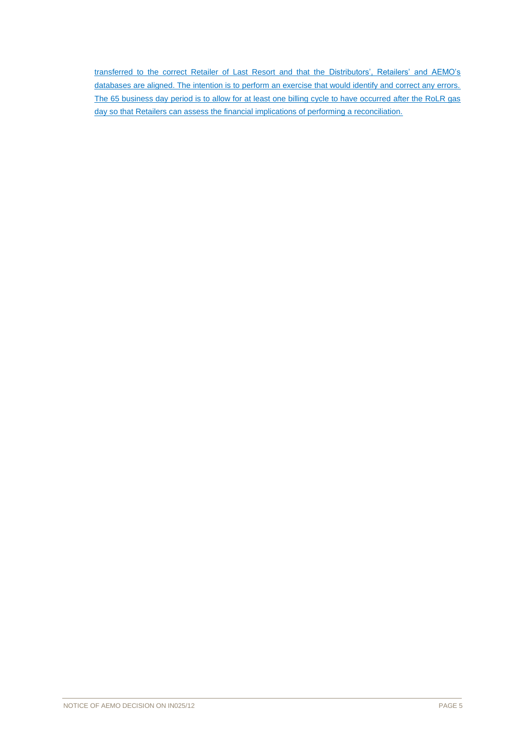transferred to the correct Retailer of Last Resort and that the Distributors', Retailers' and AEMO's databases are aligned. The intention is to perform an exercise that would identify and correct any errors. The 65 business day period is to allow for at least one billing cycle to have occurred after the RoLR gas day so that Retailers can assess the financial implications of performing a reconciliation.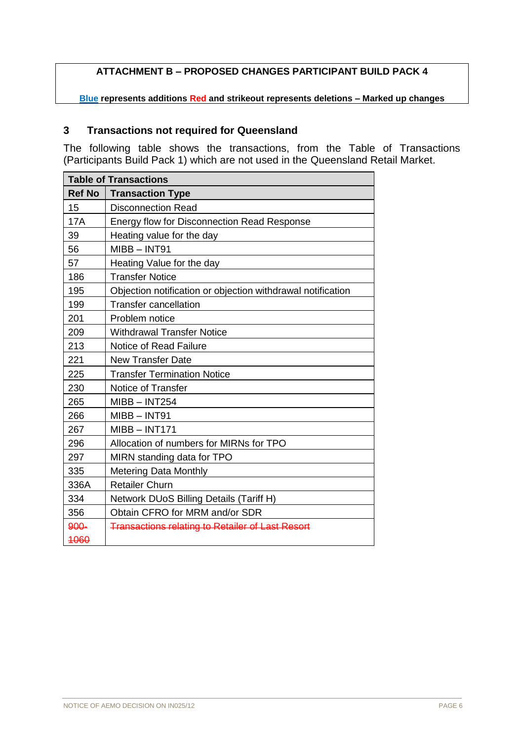# **ATTACHMENT B – PROPOSED CHANGES PARTICIPANT BUILD PACK 4**

**Blue represents additions Red and strikeout represents deletions – Marked up changes**

# **Transactions not required for Queensland**

The following table shows the transactions, from the Table of Transactions (Participants Build Pack 1) which are not used in the Queensland Retail Market.

|               | <b>Table of Transactions</b>                                |  |  |  |
|---------------|-------------------------------------------------------------|--|--|--|
| <b>Ref No</b> | <b>Transaction Type</b>                                     |  |  |  |
| 15            | <b>Disconnection Read</b>                                   |  |  |  |
| <b>17A</b>    | <b>Energy flow for Disconnection Read Response</b>          |  |  |  |
| 39            | Heating value for the day                                   |  |  |  |
| 56            | MIBB-INT91                                                  |  |  |  |
| 57            | Heating Value for the day                                   |  |  |  |
| 186           | <b>Transfer Notice</b>                                      |  |  |  |
| 195           | Objection notification or objection withdrawal notification |  |  |  |
| 199           | <b>Transfer cancellation</b>                                |  |  |  |
| 201           | Problem notice                                              |  |  |  |
| 209           | <b>Withdrawal Transfer Notice</b>                           |  |  |  |
| 213           | Notice of Read Failure                                      |  |  |  |
| 221           | <b>New Transfer Date</b>                                    |  |  |  |
| 225           | <b>Transfer Termination Notice</b>                          |  |  |  |
| 230           | Notice of Transfer                                          |  |  |  |
| 265           | $MIBB - INT254$                                             |  |  |  |
| 266           | $MIBB - INT91$                                              |  |  |  |
| 267           | $MIBB - INT171$                                             |  |  |  |
| 296           | Allocation of numbers for MIRNs for TPO                     |  |  |  |
| 297           | MIRN standing data for TPO                                  |  |  |  |
| 335           | <b>Metering Data Monthly</b>                                |  |  |  |
| 336A          | <b>Retailer Churn</b>                                       |  |  |  |
| 334           | Network DUoS Billing Details (Tariff H)                     |  |  |  |
| 356           | Obtain CFRO for MRM and/or SDR                              |  |  |  |
| 900-          | <b>Transactions relating to Retailer of Last Resort</b>     |  |  |  |
| 4060          |                                                             |  |  |  |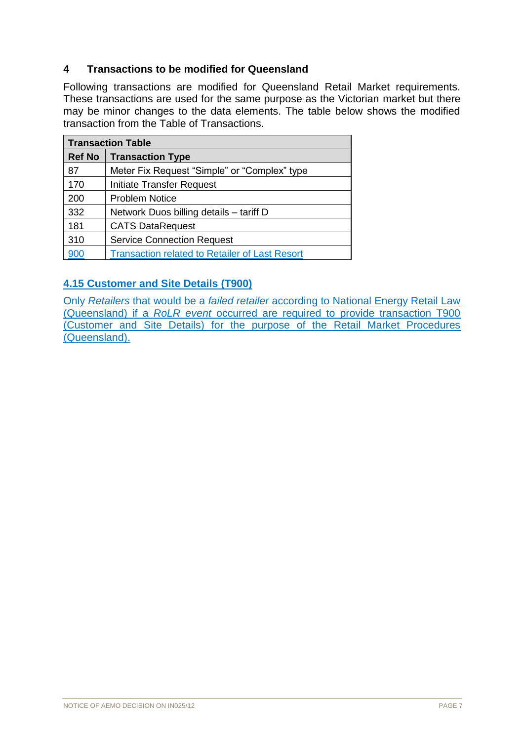# **4 Transactions to be modified for Queensland**

Following transactions are modified for Queensland Retail Market requirements. These transactions are used for the same purpose as the Victorian market but there may be minor changes to the data elements. The table below shows the modified transaction from the Table of Transactions.

| <b>Transaction Table</b> |                                                       |  |  |
|--------------------------|-------------------------------------------------------|--|--|
| <b>Ref No</b>            | <b>Transaction Type</b>                               |  |  |
| 87                       | Meter Fix Request "Simple" or "Complex" type          |  |  |
| 170                      | Initiate Transfer Request                             |  |  |
| 200                      | <b>Problem Notice</b>                                 |  |  |
| 332                      | Network Duos billing details - tariff D               |  |  |
| 181                      | <b>CATS DataRequest</b>                               |  |  |
| 310                      | <b>Service Connection Request</b>                     |  |  |
| 900                      | <b>Transaction related to Retailer of Last Resort</b> |  |  |

# **4.15 Customer and Site Details (T900)**

Only *Retailers* that would be a *failed retailer* according to National Energy Retail Law (Queensland) if a *RoLR event* occurred are required to provide transaction T900 (Customer and Site Details) for the purpose of the Retail Market Procedures (Queensland).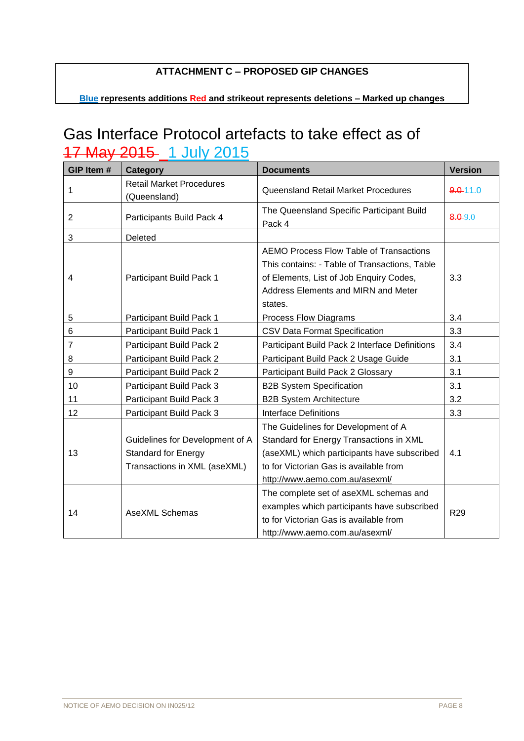# **ATTACHMENT C – PROPOSED GIP CHANGES**

**Blue represents additions Red and strikeout represents deletions – Marked up changes**

# Gas Interface Protocol artefacts to take effect as of 17 May 2015 1 July 2015

| GIP Item #      | Category                                                                                      | <b>Documents</b>                                                                                                                                                                                          | <b>Version</b>  |
|-----------------|-----------------------------------------------------------------------------------------------|-----------------------------------------------------------------------------------------------------------------------------------------------------------------------------------------------------------|-----------------|
| 1               | <b>Retail Market Procedures</b><br>(Queensland)                                               | Queensland Retail Market Procedures                                                                                                                                                                       | $9.0 - 11.0$    |
| $\overline{2}$  | Participants Build Pack 4                                                                     | The Queensland Specific Participant Build<br>Pack 4                                                                                                                                                       | $8.0 - 9.0$     |
| 3               | Deleted                                                                                       |                                                                                                                                                                                                           |                 |
| $\overline{4}$  | Participant Build Pack 1                                                                      | AEMO Process Flow Table of Transactions<br>This contains: - Table of Transactions, Table<br>of Elements, List of Job Enquiry Codes,<br>Address Elements and MIRN and Meter<br>states.                     |                 |
| 5               | Participant Build Pack 1                                                                      | <b>Process Flow Diagrams</b>                                                                                                                                                                              | 3.4             |
| 6               | Participant Build Pack 1                                                                      | CSV Data Format Specification                                                                                                                                                                             | 3.3             |
| 7               | Participant Build Pack 2                                                                      | Participant Build Pack 2 Interface Definitions                                                                                                                                                            | 3.4             |
| 8               | Participant Build Pack 2                                                                      | Participant Build Pack 2 Usage Guide                                                                                                                                                                      | 3.1             |
| 9               | Participant Build Pack 2                                                                      | Participant Build Pack 2 Glossary                                                                                                                                                                         | 3.1             |
| 10              | Participant Build Pack 3                                                                      | <b>B2B System Specification</b>                                                                                                                                                                           | 3.1             |
| 11              | Participant Build Pack 3                                                                      | <b>B2B System Architecture</b>                                                                                                                                                                            | 3.2             |
| 12 <sup>2</sup> | Participant Build Pack 3                                                                      | <b>Interface Definitions</b>                                                                                                                                                                              | 3.3             |
| 13              | Guidelines for Development of A<br><b>Standard for Energy</b><br>Transactions in XML (aseXML) | The Guidelines for Development of A<br>Standard for Energy Transactions in XML<br>(aseXML) which participants have subscribed<br>to for Victorian Gas is available from<br>http://www.aemo.com.au/asexml/ | 4.1             |
| 14              | <b>AseXML Schemas</b>                                                                         | The complete set of aseXML schemas and<br>examples which participants have subscribed<br>to for Victorian Gas is available from<br>http://www.aemo.com.au/asexml/                                         | R <sub>29</sub> |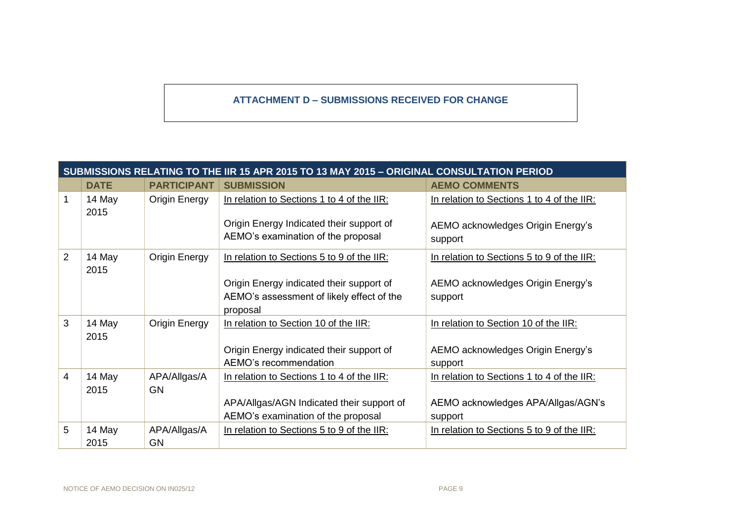### **ATTACHMENT D – SUBMISSIONS RECEIVED FOR CHANGE**

|                | SUBMISSIONS RELATING TO THE IIR 15 APR 2015 TO 13 MAY 2015 - ORIGINAL CONSULTATION PERIOD |                           |                                                                                |                                              |  |
|----------------|-------------------------------------------------------------------------------------------|---------------------------|--------------------------------------------------------------------------------|----------------------------------------------|--|
|                | <b>DATE</b>                                                                               | <b>PARTICIPANT</b>        | <b>SUBMISSION</b>                                                              | <b>AEMO COMMENTS</b>                         |  |
| 1              | 14 May<br>2015                                                                            | <b>Origin Energy</b>      | In relation to Sections 1 to 4 of the IIR:                                     | In relation to Sections 1 to 4 of the IIR:   |  |
|                |                                                                                           |                           | Origin Energy Indicated their support of<br>AEMO's examination of the proposal | AEMO acknowledges Origin Energy's<br>support |  |
| $\overline{2}$ | 14 May<br>2015                                                                            | <b>Origin Energy</b>      | In relation to Sections 5 to 9 of the IIR:                                     | In relation to Sections 5 to 9 of the IIR:   |  |
|                |                                                                                           |                           | Origin Energy indicated their support of                                       | AEMO acknowledges Origin Energy's            |  |
|                |                                                                                           |                           | AEMO's assessment of likely effect of the<br>proposal                          | support                                      |  |
| 3              | 14 May<br>2015                                                                            | <b>Origin Energy</b>      | In relation to Section 10 of the IIR:                                          | In relation to Section 10 of the IIR:        |  |
|                |                                                                                           |                           | Origin Energy indicated their support of                                       | AEMO acknowledges Origin Energy's            |  |
|                |                                                                                           |                           | AEMO's recommendation                                                          | support                                      |  |
| 4              | 14 May<br>2015                                                                            | APA/Allgas/A<br><b>GN</b> | In relation to Sections 1 to 4 of the IIR:                                     | In relation to Sections 1 to 4 of the IIR:   |  |
|                |                                                                                           |                           | APA/Allgas/AGN Indicated their support of                                      | AEMO acknowledges APA/Allgas/AGN's           |  |
|                |                                                                                           |                           | AEMO's examination of the proposal                                             | support                                      |  |
| 5              | 14 May                                                                                    | APA/Allgas/A              | In relation to Sections 5 to 9 of the IIR:                                     | In relation to Sections 5 to 9 of the IIR:   |  |
|                | 2015                                                                                      | <b>GN</b>                 |                                                                                |                                              |  |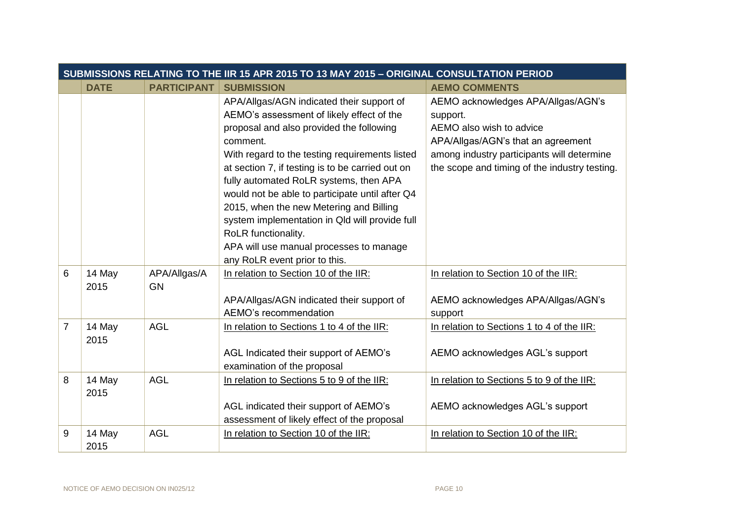|                | SUBMISSIONS RELATING TO THE IIR 15 APR 2015 TO 13 MAY 2015 - ORIGINAL CONSULTATION PERIOD |                           |                                                                                                                                                                                                                                                                                                                                                                                                                                                                                                                                                   |                                                                                                                                                                                                                 |  |  |
|----------------|-------------------------------------------------------------------------------------------|---------------------------|---------------------------------------------------------------------------------------------------------------------------------------------------------------------------------------------------------------------------------------------------------------------------------------------------------------------------------------------------------------------------------------------------------------------------------------------------------------------------------------------------------------------------------------------------|-----------------------------------------------------------------------------------------------------------------------------------------------------------------------------------------------------------------|--|--|
|                | <b>DATE</b>                                                                               | <b>PARTICIPANT</b>        | <b>SUBMISSION</b>                                                                                                                                                                                                                                                                                                                                                                                                                                                                                                                                 | <b>AEMO COMMENTS</b>                                                                                                                                                                                            |  |  |
|                |                                                                                           |                           | APA/Allgas/AGN indicated their support of<br>AEMO's assessment of likely effect of the<br>proposal and also provided the following<br>comment.<br>With regard to the testing requirements listed<br>at section 7, if testing is to be carried out on<br>fully automated RoLR systems, then APA<br>would not be able to participate until after Q4<br>2015, when the new Metering and Billing<br>system implementation in Qld will provide full<br>RoLR functionality.<br>APA will use manual processes to manage<br>any RoLR event prior to this. | AEMO acknowledges APA/Allgas/AGN's<br>support.<br>AEMO also wish to advice<br>APA/Allgas/AGN's that an agreement<br>among industry participants will determine<br>the scope and timing of the industry testing. |  |  |
| 6              | 14 May<br>2015                                                                            | APA/Allgas/A<br><b>GN</b> | In relation to Section 10 of the IIR:<br>APA/Allgas/AGN indicated their support of<br>AEMO's recommendation                                                                                                                                                                                                                                                                                                                                                                                                                                       | In relation to Section 10 of the IIR:<br>AEMO acknowledges APA/Allgas/AGN's<br>support                                                                                                                          |  |  |
| $\overline{7}$ | 14 May<br>2015                                                                            | <b>AGL</b>                | In relation to Sections 1 to 4 of the IIR:<br>AGL Indicated their support of AEMO's<br>examination of the proposal                                                                                                                                                                                                                                                                                                                                                                                                                                | In relation to Sections 1 to 4 of the IIR:<br>AEMO acknowledges AGL's support                                                                                                                                   |  |  |
| 8              | 14 May<br>2015                                                                            | <b>AGL</b>                | In relation to Sections 5 to 9 of the IIR:<br>AGL indicated their support of AEMO's<br>assessment of likely effect of the proposal                                                                                                                                                                                                                                                                                                                                                                                                                | In relation to Sections 5 to 9 of the IIR:<br>AEMO acknowledges AGL's support                                                                                                                                   |  |  |
| 9              | 14 May<br>2015                                                                            | <b>AGL</b>                | In relation to Section 10 of the IIR:                                                                                                                                                                                                                                                                                                                                                                                                                                                                                                             | In relation to Section 10 of the IIR:                                                                                                                                                                           |  |  |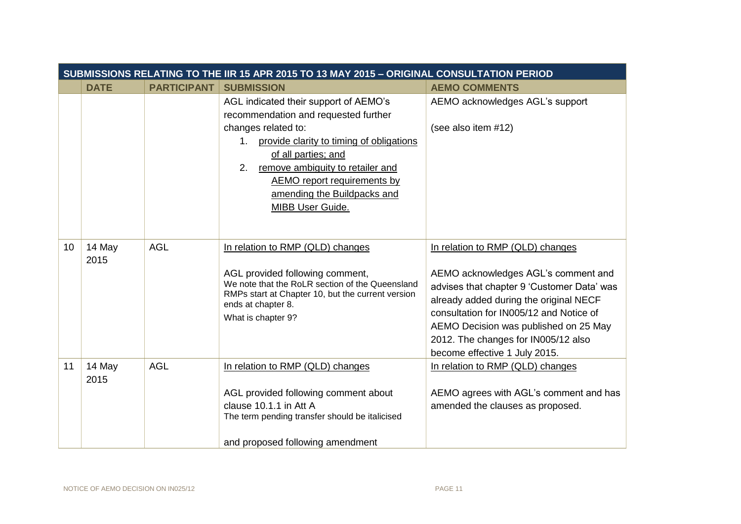|    | SUBMISSIONS RELATING TO THE IIR 15 APR 2015 TO 13 MAY 2015 - ORIGINAL CONSULTATION PERIOD |                    |                                                                                                                                                                                                                                                                                                                  |                                                                                                                                                                                                                                                                                                                             |  |
|----|-------------------------------------------------------------------------------------------|--------------------|------------------------------------------------------------------------------------------------------------------------------------------------------------------------------------------------------------------------------------------------------------------------------------------------------------------|-----------------------------------------------------------------------------------------------------------------------------------------------------------------------------------------------------------------------------------------------------------------------------------------------------------------------------|--|
|    | <b>DATE</b>                                                                               | <b>PARTICIPANT</b> | <b>SUBMISSION</b>                                                                                                                                                                                                                                                                                                | <b>AEMO COMMENTS</b>                                                                                                                                                                                                                                                                                                        |  |
|    |                                                                                           |                    | AGL indicated their support of AEMO's<br>recommendation and requested further<br>changes related to:<br>provide clarity to timing of obligations<br>1.<br>of all parties; and<br>remove ambiguity to retailer and<br>2.<br><b>AEMO</b> report requirements by<br>amending the Buildpacks and<br>MIBB User Guide. | AEMO acknowledges AGL's support<br>(see also item #12)                                                                                                                                                                                                                                                                      |  |
| 10 | 14 May<br>2015                                                                            | <b>AGL</b>         | In relation to RMP (QLD) changes<br>AGL provided following comment,<br>We note that the RoLR section of the Queensland<br>RMPs start at Chapter 10, but the current version<br>ends at chapter 8.<br>What is chapter 9?                                                                                          | In relation to RMP (QLD) changes<br>AEMO acknowledges AGL's comment and<br>advises that chapter 9 'Customer Data' was<br>already added during the original NECF<br>consultation for IN005/12 and Notice of<br>AEMO Decision was published on 25 May<br>2012. The changes for IN005/12 also<br>become effective 1 July 2015. |  |
| 11 | 14 May<br>2015                                                                            | <b>AGL</b>         | In relation to RMP (QLD) changes<br>AGL provided following comment about<br>clause 10.1.1 in Att A<br>The term pending transfer should be italicised<br>and proposed following amendment                                                                                                                         | In relation to RMP (QLD) changes<br>AEMO agrees with AGL's comment and has<br>amended the clauses as proposed.                                                                                                                                                                                                              |  |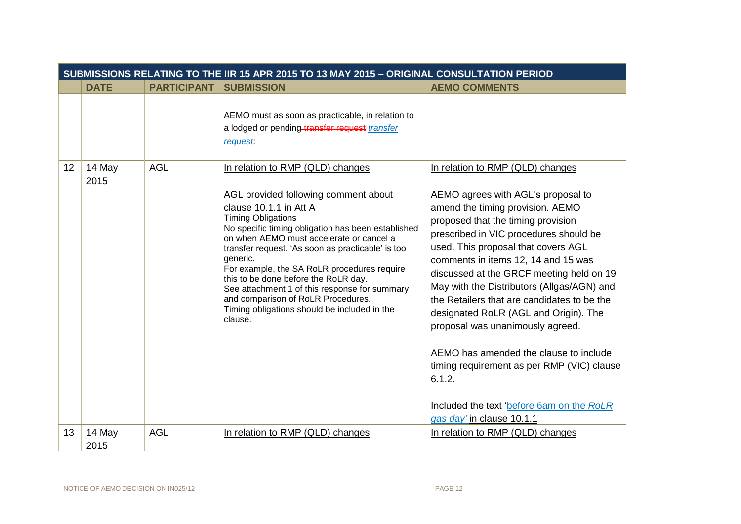|                 | SUBMISSIONS RELATING TO THE IIR 15 APR 2015 TO 13 MAY 2015 - ORIGINAL CONSULTATION PERIOD |                    |                                                                                                                                                                                                                                                                                                                                                                                                                                                                                                                                             |                                                                                                                                                                                                                                                                                                                                                                                                                                                                                                                                                                                                                                                                            |  |
|-----------------|-------------------------------------------------------------------------------------------|--------------------|---------------------------------------------------------------------------------------------------------------------------------------------------------------------------------------------------------------------------------------------------------------------------------------------------------------------------------------------------------------------------------------------------------------------------------------------------------------------------------------------------------------------------------------------|----------------------------------------------------------------------------------------------------------------------------------------------------------------------------------------------------------------------------------------------------------------------------------------------------------------------------------------------------------------------------------------------------------------------------------------------------------------------------------------------------------------------------------------------------------------------------------------------------------------------------------------------------------------------------|--|
|                 | <b>DATE</b>                                                                               | <b>PARTICIPANT</b> | <b>SUBMISSION</b>                                                                                                                                                                                                                                                                                                                                                                                                                                                                                                                           | <b>AEMO COMMENTS</b>                                                                                                                                                                                                                                                                                                                                                                                                                                                                                                                                                                                                                                                       |  |
|                 |                                                                                           |                    | AEMO must as soon as practicable, in relation to<br>a lodged or pending transfer request transfer<br><i>request</i>                                                                                                                                                                                                                                                                                                                                                                                                                         |                                                                                                                                                                                                                                                                                                                                                                                                                                                                                                                                                                                                                                                                            |  |
| 12 <sup>2</sup> | 14 May<br>2015                                                                            | <b>AGL</b>         | In relation to RMP (QLD) changes<br>AGL provided following comment about<br>clause 10.1.1 in Att A<br><b>Timing Obligations</b><br>No specific timing obligation has been established<br>on when AEMO must accelerate or cancel a<br>transfer request. 'As soon as practicable' is too<br>generic.<br>For example, the SA RoLR procedures require<br>this to be done before the RoLR day.<br>See attachment 1 of this response for summary<br>and comparison of RoLR Procedures.<br>Timing obligations should be included in the<br>clause. | In relation to RMP (QLD) changes<br>AEMO agrees with AGL's proposal to<br>amend the timing provision. AEMO<br>proposed that the timing provision<br>prescribed in VIC procedures should be<br>used. This proposal that covers AGL<br>comments in items 12, 14 and 15 was<br>discussed at the GRCF meeting held on 19<br>May with the Distributors (Allgas/AGN) and<br>the Retailers that are candidates to be the<br>designated RoLR (AGL and Origin). The<br>proposal was unanimously agreed.<br>AEMO has amended the clause to include<br>timing requirement as per RMP (VIC) clause<br>6.1.2.<br>Included the text 'before 6am on the RoLR<br>gas day' in clause 10.1.1 |  |
| 13              | 14 May<br>2015                                                                            | <b>AGL</b>         | In relation to RMP (QLD) changes                                                                                                                                                                                                                                                                                                                                                                                                                                                                                                            | In relation to RMP (QLD) changes                                                                                                                                                                                                                                                                                                                                                                                                                                                                                                                                                                                                                                           |  |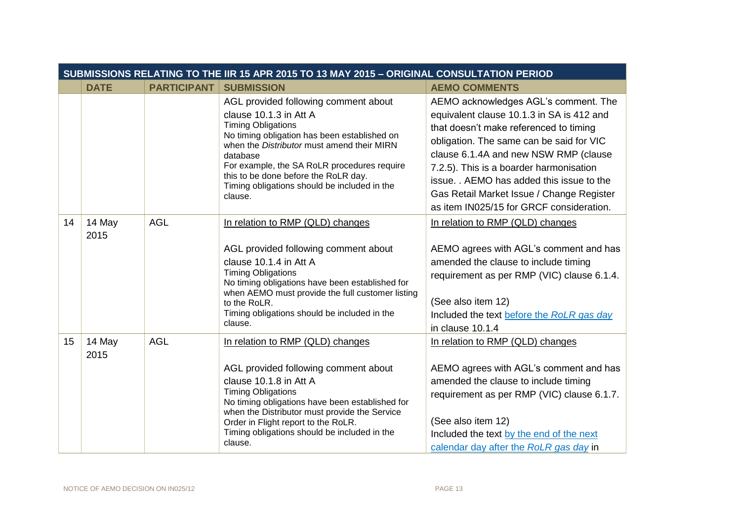|    | SUBMISSIONS RELATING TO THE IIR 15 APR 2015 TO 13 MAY 2015 - ORIGINAL CONSULTATION PERIOD |                    |                                                                                                                                                                                                                                                                                                                                                         |                                                                                                                                                                                                                                                                                                                                                                                                 |  |
|----|-------------------------------------------------------------------------------------------|--------------------|---------------------------------------------------------------------------------------------------------------------------------------------------------------------------------------------------------------------------------------------------------------------------------------------------------------------------------------------------------|-------------------------------------------------------------------------------------------------------------------------------------------------------------------------------------------------------------------------------------------------------------------------------------------------------------------------------------------------------------------------------------------------|--|
|    | <b>DATE</b>                                                                               | <b>PARTICIPANT</b> | <b>SUBMISSION</b>                                                                                                                                                                                                                                                                                                                                       | <b>AEMO COMMENTS</b>                                                                                                                                                                                                                                                                                                                                                                            |  |
|    |                                                                                           |                    | AGL provided following comment about<br>clause 10.1.3 in Att A<br><b>Timing Obligations</b><br>No timing obligation has been established on<br>when the Distributor must amend their MIRN<br>database<br>For example, the SA RoLR procedures require<br>this to be done before the RoLR day.<br>Timing obligations should be included in the<br>clause. | AEMO acknowledges AGL's comment. The<br>equivalent clause 10.1.3 in SA is 412 and<br>that doesn't make referenced to timing<br>obligation. The same can be said for VIC<br>clause 6.1.4A and new NSW RMP (clause<br>7.2.5). This is a boarder harmonisation<br>issue. AEMO has added this issue to the<br>Gas Retail Market Issue / Change Register<br>as item IN025/15 for GRCF consideration. |  |
| 14 | 14 May<br>2015                                                                            | <b>AGL</b>         | In relation to RMP (QLD) changes<br>AGL provided following comment about<br>clause 10.1.4 in Att A<br><b>Timing Obligations</b><br>No timing obligations have been established for<br>when AEMO must provide the full customer listing<br>to the RoLR.<br>Timing obligations should be included in the<br>clause.                                       | In relation to RMP (QLD) changes<br>AEMO agrees with AGL's comment and has<br>amended the clause to include timing<br>requirement as per RMP (VIC) clause 6.1.4.<br>(See also item 12)<br>Included the text before the RoLR gas day<br>in clause 10.1.4                                                                                                                                         |  |
| 15 | 14 May<br>2015                                                                            | <b>AGL</b>         | In relation to RMP (QLD) changes<br>AGL provided following comment about<br>clause 10.1.8 in Att A<br><b>Timing Obligations</b><br>No timing obligations have been established for<br>when the Distributor must provide the Service<br>Order in Flight report to the RoLR.<br>Timing obligations should be included in the<br>clause.                   | In relation to RMP (QLD) changes<br>AEMO agrees with AGL's comment and has<br>amended the clause to include timing<br>requirement as per RMP (VIC) clause 6.1.7.<br>(See also item 12)<br>Included the text by the end of the next<br>calendar day after the RoLR gas day in                                                                                                                    |  |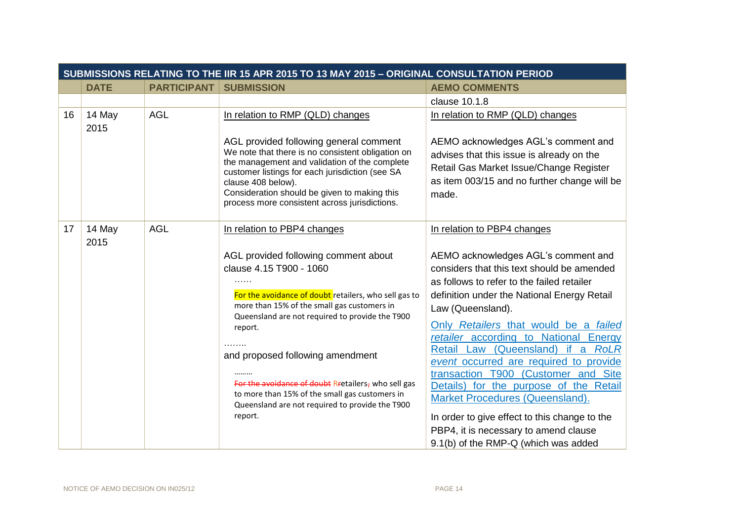|    | SUBMISSIONS RELATING TO THE IIR 15 APR 2015 TO 13 MAY 2015 - ORIGINAL CONSULTATION PERIOD |                    |                                                                                                                                                                                                                                                                                                                                                                                                                        |                                                                                                                                                                                                                                                                                                                                                                                                                                                                                                                         |  |  |
|----|-------------------------------------------------------------------------------------------|--------------------|------------------------------------------------------------------------------------------------------------------------------------------------------------------------------------------------------------------------------------------------------------------------------------------------------------------------------------------------------------------------------------------------------------------------|-------------------------------------------------------------------------------------------------------------------------------------------------------------------------------------------------------------------------------------------------------------------------------------------------------------------------------------------------------------------------------------------------------------------------------------------------------------------------------------------------------------------------|--|--|
|    | <b>DATE</b>                                                                               | <b>PARTICIPANT</b> | <b>SUBMISSION</b>                                                                                                                                                                                                                                                                                                                                                                                                      | <b>AEMO COMMENTS</b>                                                                                                                                                                                                                                                                                                                                                                                                                                                                                                    |  |  |
|    |                                                                                           |                    |                                                                                                                                                                                                                                                                                                                                                                                                                        | clause 10.1.8                                                                                                                                                                                                                                                                                                                                                                                                                                                                                                           |  |  |
| 16 | 14 May<br>2015                                                                            | <b>AGL</b>         | In relation to RMP (QLD) changes                                                                                                                                                                                                                                                                                                                                                                                       | In relation to RMP (QLD) changes                                                                                                                                                                                                                                                                                                                                                                                                                                                                                        |  |  |
|    |                                                                                           |                    | AGL provided following general comment<br>We note that there is no consistent obligation on<br>the management and validation of the complete<br>customer listings for each jurisdiction (see SA<br>clause 408 below).<br>Consideration should be given to making this<br>process more consistent across jurisdictions.                                                                                                 | AEMO acknowledges AGL's comment and<br>advises that this issue is already on the<br>Retail Gas Market Issue/Change Register<br>as item 003/15 and no further change will be<br>made.                                                                                                                                                                                                                                                                                                                                    |  |  |
| 17 | 14 May<br>2015                                                                            | <b>AGL</b>         | In relation to PBP4 changes<br>AGL provided following comment about<br>clause 4.15 T900 - 1060<br>.<br>For the avoidance of doubt retailers, who sell gas to<br>more than 15% of the small gas customers in<br>Queensland are not required to provide the T900<br>report.<br>and proposed following amendment<br>For the avoidance of doubt Rretailers, who sell gas<br>to more than 15% of the small gas customers in | In relation to PBP4 changes<br>AEMO acknowledges AGL's comment and<br>considers that this text should be amended<br>as follows to refer to the failed retailer<br>definition under the National Energy Retail<br>Law (Queensland).<br>Only Retailers that would be a failed<br>retailer according to National Energy<br>Retail Law (Queensland) if a RoLR<br>event occurred are required to provide<br>transaction T900 (Customer and Site<br>Details) for the purpose of the Retail<br>Market Procedures (Queensland). |  |  |
|    |                                                                                           |                    | Queensland are not required to provide the T900<br>report.                                                                                                                                                                                                                                                                                                                                                             | In order to give effect to this change to the<br>PBP4, it is necessary to amend clause<br>9.1(b) of the RMP-Q (which was added                                                                                                                                                                                                                                                                                                                                                                                          |  |  |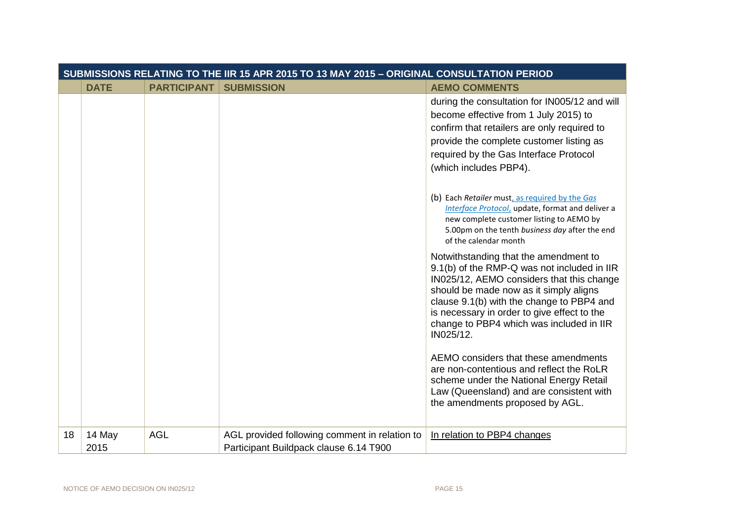|    | SUBMISSIONS RELATING TO THE IIR 15 APR 2015 TO 13 MAY 2015 - ORIGINAL CONSULTATION PERIOD |                    |                                               |                                                                                                                                                                                                                                                                                                                                                                          |
|----|-------------------------------------------------------------------------------------------|--------------------|-----------------------------------------------|--------------------------------------------------------------------------------------------------------------------------------------------------------------------------------------------------------------------------------------------------------------------------------------------------------------------------------------------------------------------------|
|    | <b>DATE</b>                                                                               | <b>PARTICIPANT</b> | <b>SUBMISSION</b>                             | <b>AEMO COMMENTS</b>                                                                                                                                                                                                                                                                                                                                                     |
|    |                                                                                           |                    |                                               | during the consultation for IN005/12 and will<br>become effective from 1 July 2015) to<br>confirm that retailers are only required to<br>provide the complete customer listing as<br>required by the Gas Interface Protocol<br>(which includes PBP4).                                                                                                                    |
|    |                                                                                           |                    |                                               | (b) Each Retailer must, as required by the Gas<br>Interface Protocol, update, format and deliver a<br>new complete customer listing to AEMO by<br>5.00pm on the tenth business day after the end<br>of the calendar month                                                                                                                                                |
|    |                                                                                           |                    |                                               | Notwithstanding that the amendment to<br>9.1(b) of the RMP-Q was not included in IIR<br>IN025/12, AEMO considers that this change<br>should be made now as it simply aligns<br>clause 9.1(b) with the change to PBP4 and<br>is necessary in order to give effect to the<br>change to PBP4 which was included in IIR<br>IN025/12.<br>AEMO considers that these amendments |
|    |                                                                                           |                    |                                               | are non-contentious and reflect the RoLR<br>scheme under the National Energy Retail<br>Law (Queensland) and are consistent with<br>the amendments proposed by AGL.                                                                                                                                                                                                       |
| 18 | 14 May                                                                                    | <b>AGL</b>         | AGL provided following comment in relation to | In relation to PBP4 changes                                                                                                                                                                                                                                                                                                                                              |
|    | 2015                                                                                      |                    | Participant Buildpack clause 6.14 T900        |                                                                                                                                                                                                                                                                                                                                                                          |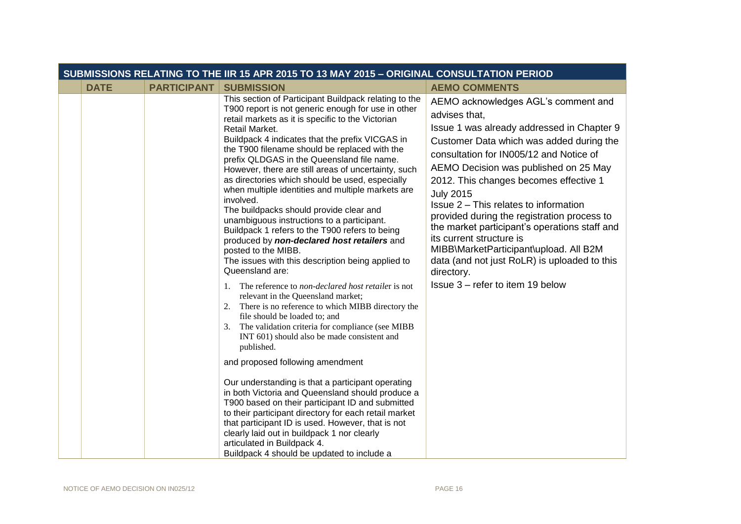| SUBMISSIONS RELATING TO THE IIR 15 APR 2015 TO 13 MAY 2015 - ORIGINAL CONSULTATION PERIOD |                    |                                                                                                                                                                                                                                                                                                                                                                                                                                                                                                                                                                                                                                                                                                                                                                                                                                                                                                                                                                                                                                                                                                                                                                                                                                                                                                                                                                                                                                                                                                                                                                           |                                                                                                                                                                                                                                                                                                                                                                                                                                                                                                                                                                                                                   |  |
|-------------------------------------------------------------------------------------------|--------------------|---------------------------------------------------------------------------------------------------------------------------------------------------------------------------------------------------------------------------------------------------------------------------------------------------------------------------------------------------------------------------------------------------------------------------------------------------------------------------------------------------------------------------------------------------------------------------------------------------------------------------------------------------------------------------------------------------------------------------------------------------------------------------------------------------------------------------------------------------------------------------------------------------------------------------------------------------------------------------------------------------------------------------------------------------------------------------------------------------------------------------------------------------------------------------------------------------------------------------------------------------------------------------------------------------------------------------------------------------------------------------------------------------------------------------------------------------------------------------------------------------------------------------------------------------------------------------|-------------------------------------------------------------------------------------------------------------------------------------------------------------------------------------------------------------------------------------------------------------------------------------------------------------------------------------------------------------------------------------------------------------------------------------------------------------------------------------------------------------------------------------------------------------------------------------------------------------------|--|
| <b>DATE</b>                                                                               | <b>PARTICIPANT</b> | <b>SUBMISSION</b>                                                                                                                                                                                                                                                                                                                                                                                                                                                                                                                                                                                                                                                                                                                                                                                                                                                                                                                                                                                                                                                                                                                                                                                                                                                                                                                                                                                                                                                                                                                                                         | <b>AEMO COMMENTS</b>                                                                                                                                                                                                                                                                                                                                                                                                                                                                                                                                                                                              |  |
|                                                                                           |                    | This section of Participant Buildpack relating to the<br>T900 report is not generic enough for use in other<br>retail markets as it is specific to the Victorian<br>Retail Market.<br>Buildpack 4 indicates that the prefix VICGAS in<br>the T900 filename should be replaced with the<br>prefix QLDGAS in the Queensland file name.<br>However, there are still areas of uncertainty, such<br>as directories which should be used, especially<br>when multiple identities and multiple markets are<br>involved.<br>The buildpacks should provide clear and<br>unambiguous instructions to a participant.<br>Buildpack 1 refers to the T900 refers to being<br>produced by non-declared host retailers and<br>posted to the MIBB.<br>The issues with this description being applied to<br>Queensland are:<br>The reference to non-declared host retailer is not<br>1.<br>relevant in the Queensland market;<br>There is no reference to which MIBB directory the<br>2.<br>file should be loaded to; and<br>The validation criteria for compliance (see MIBB<br>3.<br>INT 601) should also be made consistent and<br>published.<br>and proposed following amendment<br>Our understanding is that a participant operating<br>in both Victoria and Queensland should produce a<br>T900 based on their participant ID and submitted<br>to their participant directory for each retail market<br>that participant ID is used. However, that is not<br>clearly laid out in buildpack 1 nor clearly<br>articulated in Buildpack 4.<br>Buildpack 4 should be updated to include a | AEMO acknowledges AGL's comment and<br>advises that,<br>Issue 1 was already addressed in Chapter 9<br>Customer Data which was added during the<br>consultation for IN005/12 and Notice of<br>AEMO Decision was published on 25 May<br>2012. This changes becomes effective 1<br><b>July 2015</b><br>Issue 2 – This relates to information<br>provided during the registration process to<br>the market participant's operations staff and<br>its current structure is<br>MIBB\MarketParticipant\upload. All B2M<br>data (and not just RoLR) is uploaded to this<br>directory.<br>Issue 3 - refer to item 19 below |  |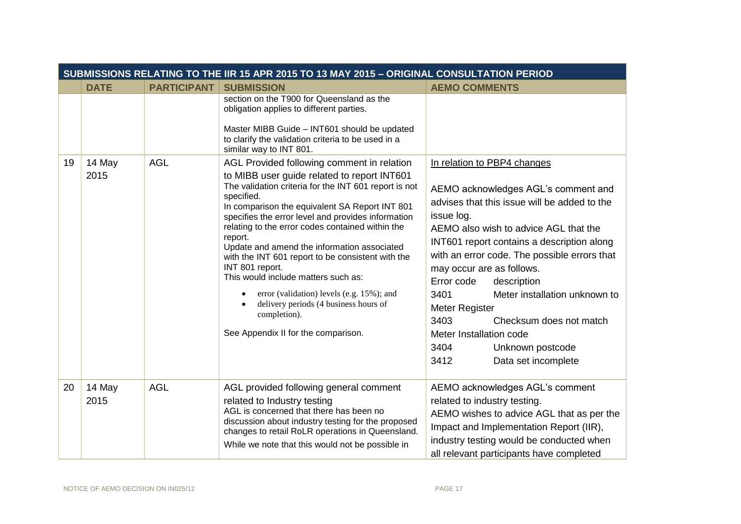| SUBMISSIONS RELATING TO THE IIR 15 APR 2015 TO 13 MAY 2015 - ORIGINAL CONSULTATION PERIOD |                |                    |                                                                                                                                                                                                                                                                                                                                                                                                                                                                                                                                                                                                                                                                 |                                                                                                                                                                                                                                                                                                                                                                                                                                                            |  |  |  |
|-------------------------------------------------------------------------------------------|----------------|--------------------|-----------------------------------------------------------------------------------------------------------------------------------------------------------------------------------------------------------------------------------------------------------------------------------------------------------------------------------------------------------------------------------------------------------------------------------------------------------------------------------------------------------------------------------------------------------------------------------------------------------------------------------------------------------------|------------------------------------------------------------------------------------------------------------------------------------------------------------------------------------------------------------------------------------------------------------------------------------------------------------------------------------------------------------------------------------------------------------------------------------------------------------|--|--|--|
|                                                                                           | <b>DATE</b>    | <b>PARTICIPANT</b> | <b>SUBMISSION</b>                                                                                                                                                                                                                                                                                                                                                                                                                                                                                                                                                                                                                                               | <b>AEMO COMMENTS</b>                                                                                                                                                                                                                                                                                                                                                                                                                                       |  |  |  |
|                                                                                           |                |                    | section on the T900 for Queensland as the<br>obligation applies to different parties.<br>Master MIBB Guide - INT601 should be updated<br>to clarify the validation criteria to be used in a<br>similar way to INT 801.                                                                                                                                                                                                                                                                                                                                                                                                                                          |                                                                                                                                                                                                                                                                                                                                                                                                                                                            |  |  |  |
| 19                                                                                        | 14 May<br>2015 | <b>AGL</b>         | AGL Provided following comment in relation<br>to MIBB user guide related to report INT601<br>The validation criteria for the INT 601 report is not<br>specified.<br>In comparison the equivalent SA Report INT 801<br>specifies the error level and provides information<br>relating to the error codes contained within the<br>report.<br>Update and amend the information associated<br>with the INT 601 report to be consistent with the<br>INT 801 report.<br>This would include matters such as:<br>error (validation) levels (e.g. 15%); and<br>delivery periods (4 business hours of<br>$\bullet$<br>completion).<br>See Appendix II for the comparison. | In relation to PBP4 changes<br>AEMO acknowledges AGL's comment and<br>advises that this issue will be added to the<br>issue log.<br>AEMO also wish to advice AGL that the<br>INT601 report contains a description along<br>with an error code. The possible errors that<br>may occur are as follows.<br>Error code<br>description<br>Meter installation unknown to<br>3401<br>Meter Register<br>3403<br>Checksum does not match<br>Meter Installation code |  |  |  |
|                                                                                           |                |                    |                                                                                                                                                                                                                                                                                                                                                                                                                                                                                                                                                                                                                                                                 | 3404<br>Unknown postcode<br>3412<br>Data set incomplete                                                                                                                                                                                                                                                                                                                                                                                                    |  |  |  |
| 20                                                                                        | 14 May<br>2015 | <b>AGL</b>         | AGL provided following general comment<br>related to Industry testing<br>AGL is concerned that there has been no<br>discussion about industry testing for the proposed<br>changes to retail RoLR operations in Queensland.<br>While we note that this would not be possible in                                                                                                                                                                                                                                                                                                                                                                                  | AEMO acknowledges AGL's comment<br>related to industry testing.<br>AEMO wishes to advice AGL that as per the<br>Impact and Implementation Report (IIR),<br>industry testing would be conducted when<br>all relevant participants have completed                                                                                                                                                                                                            |  |  |  |